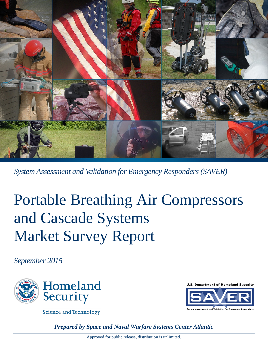

*System Assessment and Validation for Emergency Responders (SAVER)*

# Portable Breathing Air Compressors and Cascade Systems Market Survey Report

*September 2015*



**Science and Technology** 

*Prepared by Space and Naval Warfare Systems Center Atlantic*

**U.S. Department of Homeland Security**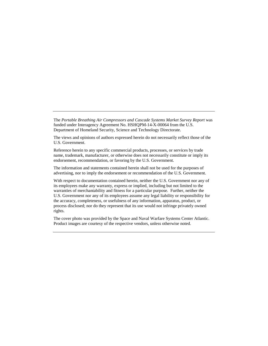The *Portable Breathing Air Compressors and Cascade Systems Market Survey Report* was funded under Interagency Agreement No. HSHQPM-14-X-00064 from the U.S. Department of Homeland Security, Science and Technology Directorate.

The views and opinions of authors expressed herein do not necessarily reflect those of the U.S. Government.

Reference herein to any specific commercial products, processes, or services by trade name, trademark, manufacturer, or otherwise does not necessarily constitute or imply its endorsement, recommendation, or favoring by the U.S. Government.

The information and statements contained herein shall not be used for the purposes of advertising, nor to imply the endorsement or recommendation of the U.S. Government.

With respect to documentation contained herein, neither the U.S. Government nor any of its employees make any warranty, express or implied, including but not limited to the warranties of merchantability and fitness for a particular purpose. Further, neither the U.S. Government nor any of its employees assume any legal liability or responsibility for the accuracy, completeness, or usefulness of any information, apparatus, product, or process disclosed; nor do they represent that its use would not infringe privately owned rights.

The cover photo was provided by the Space and Naval Warfare Systems Center Atlantic. Product images are courtesy of the respective vendors, unless otherwise noted.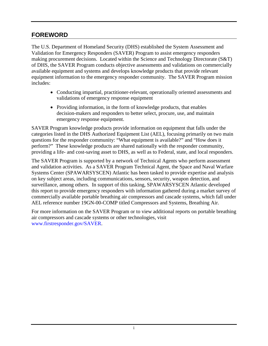#### <span id="page-2-0"></span>**FOREWORD**

The U.S. Department of Homeland Security (DHS) established the System Assessment and Validation for Emergency Responders (SAVER) Program to assist emergency responders making procurement decisions. Located within the Science and Technology Directorate (S&T) of DHS, the SAVER Program conducts objective assessments and validations on commercially available equipment and systems and develops knowledge products that provide relevant equipment information to the emergency responder community. The SAVER Program mission includes:

- Conducting impartial, practitioner-relevant, operationally oriented assessments and validations of emergency response equipment
- Providing information, in the form of knowledge products, that enables decision-makers and responders to better select, procure, use, and maintain emergency response equipment.

SAVER Program knowledge products provide information on equipment that falls under the categories listed in the DHS Authorized Equipment List (AEL), focusing primarily on two main questions for the responder community: "What equipment is available?" and "How does it perform?" These knowledge products are shared nationally with the responder community, providing a life- and cost-saving asset to DHS, as well as to Federal, state, and local responders.

The SAVER Program is supported by a network of Technical Agents who perform assessment and validation activities. As a SAVER Program Technical Agent, the Space and Naval Warfare Systems Center (SPAWARSYSCEN) Atlantic has been tasked to provide expertise and analysis on key subject areas, including communications, sensors, security, weapon detection, and surveillance, among others. In support of this tasking, SPAWARSYSCEN Atlantic developed this report to provide emergency responders with information gathered during a market survey of commercially available portable breathing air compressors and cascade systems, which fall under AEL reference number 19GN-00-COMP titled Compressors and Systems, Breathing Air.

For more information on the SAVER Program or to view additional reports on portable breathing air compressors and cascade systems or other technologies, visit [www.firstresponder.gov/SAVER.](http://www.firstresponder.gov/SAVER)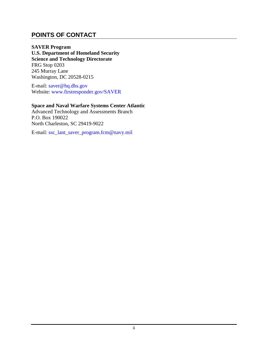#### <span id="page-3-0"></span>**POINTS OF CONTACT**

**SAVER Program U.S. Department of Homeland Security Science and Technology Directorate** FRG Stop 0203 245 Murray Lane Washington, DC 20528-0215

E-mail: [saver@hq.dhs.gov](mailto:saver@hq.dhs.gov) Website: [www.firstresponder.gov/SAVER](http://www.firstresponder.gov/SAVER)

#### **Space and Naval Warfare Systems Center Atlantic**

Advanced Technology and Assessments Branch P.O. Box 190022 North Charleston, SC 29419-9022

E-mail: [ssc\\_lant\\_saver\\_program.fcm@navy.mil](mailto:ssc_lant_saver_program.fcm@navy.mil)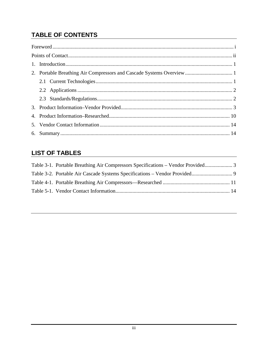## **TABLE OF CONTENTS**

## **LIST OF TABLES**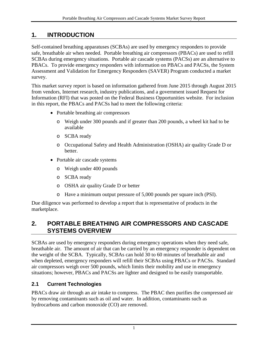### <span id="page-5-0"></span>**1. INTRODUCTION**

Self-contained breathing apparatuses (SCBAs) are used by emergency responders to provide safe, breathable air when needed. Portable breathing air compressors (PBACs) are used to refill SCBAs during emergency situations. Portable air cascade systems (PACSs) are an alternative to PBACs. To provide emergency responders with information on PBACs and PACSs, the System Assessment and Validation for Emergency Responders (SAVER) Program conducted a market survey.

This market survey report is based on information gathered from June 2015 through August 2015 from vendors, Internet research, industry publications, and a government issued Request for Information (RFI) that was posted on the Federal Business Opportunities website. For inclusion in this report, the PBACs and PACSs had to meet the following criteria:

- Portable breathing air compressors
	- o Weigh under 300 pounds and if greater than 200 pounds, a wheel kit had to be available
	- o SCBA ready
	- o Occupational Safety and Health Administration (OSHA) air quality Grade D or better.
- Portable air cascade systems
	- o Weigh under 400 pounds
	- o SCBA ready
	- o OSHA air quality Grade D or better
	- o Have a minimum output pressure of 5,000 pounds per square inch (PSI).

Due diligence was performed to develop a report that is representative of products in the marketplace.

#### <span id="page-5-1"></span>**2. PORTABLE BREATHING AIR COMPRESSORS AND CASCADE SYSTEMS OVERVIEW**

SCBAs are used by emergency responders during emergency operations when they need safe, breathable air. The amount of air that can be carried by an emergency responder is dependent on the weight of the SCBA. Typically, SCBAs can hold 30 to 60 minutes of breathable air and when depleted, emergency responders will refill their SCBAs using PBACs or PACSs. Standard air compressors weigh over 500 pounds, which limits their mobility and use in emergency situations; however, PBACs and PACSs are lighter and designed to be easily transportable.

#### <span id="page-5-2"></span>**2.1 Current Technologies**

PBACs draw air through an air intake to compress. The PBAC then purifies the compressed air by removing contaminants such as oil and water. In addition, contaminants such as hydrocarbons and carbon monoxide (CO) are removed.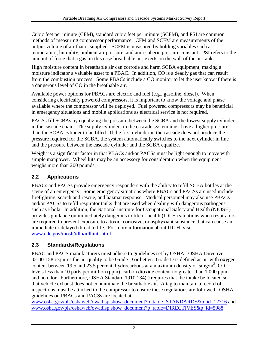Cubic feet per minute (CFM), standard cubic feet per minute (SCFM), and PSI are common methods of measuring compressor performance. CFM and SCFM are measurements of the output volume of air that is supplied. SCFM is measured by holding variables such as temperature, humidity, ambient air pressure, and atmospheric pressure constant. PSI refers to the amount of force that a gas, in this case breathable air, exerts on the wall of the air tank.

High moisture content in breathable air can corrode and harm SCBA equipment, making a moisture indicator a valuable asset to a PBAC. In addition, CO is a deadly gas that can result from the combustion process. Some PBACs include a CO monitor to let the user know if there is a dangerous level of CO in the breathable air.

Available power options for PBACs are electric and fuel (e.g., gasoline, diesel). When considering electrically powered compressors, it is important to know the voltage and phase available where the compressor will be deployed. Fuel powered compressors may be beneficial in emergency situations and mobile applications as electrical service is not required.

PACSs fill SCBAs by equalizing the pressure between the SCBA and the lowest supply cylinder in the cascade chain. The supply cylinders in the cascade system must have a higher pressure than the SCBA cylinder to be filled. If the first cylinder in the cascade does not produce the pressure required for the SCBA, the system automatically switches to the next cylinder in line and the pressure between the cascade cylinder and the SCBA equalize.

Weight is a significant factor in that PBACs and/or PACSs must be light enough to move with simple manpower. Wheel kits may be an accessory for consideration when the equipment weighs more than 200 pounds.

#### <span id="page-6-0"></span>**2.2 Applications**

PBACs and PACSs provide emergency responders with the ability to refill SCBA bottles at the scene of an emergency. Some emergency situations where PBACs and PACSs are used include firefighting, search and rescue, and hazmat response. Medical personnel may also use PBACs and/or PACSs to refill respirator tanks that are used when dealing with dangerous pathogens such as Ebola. In addition, the National Institute for Occupational Safety and Health (NIOSH) provides guidance on immediately dangerous to life or health (IDLH) situations when respirators are required to prevent exposure to a toxic, corrosive, or asphyxiant substance that can cause an immediate or delayed threat to life. For more information about IDLH, visit [www.cdc.gov/niosh/idlh/idlhintr.html.](http://www.cdc.gov/niosh/idlh/idlhintr.html)

#### <span id="page-6-1"></span>**2.3 Standards/Regulations**

PBAC and PACS manufacturers must adhere to guidelines set by OSHA. OSHA Directive 02-00-158 requires the air quality to be Grade D or better. Grade D is defined as air with oxygen content between 19.5 and 23.5 percent, hydrocarbons at a maximum density of  $5mg/m<sup>3</sup>$ , CO levels less than 10 parts per million (ppm), carbon dioxide content no greater than 1,000 ppm, and no odor. Furthermore, OSHA Standard 1910.134(i) requires that the intake be located so that vehicle exhaust does not contaminate the breathable air. A tag to maintain a record of inspections must be attached to the compressor to ensure these regulations are followed. OSHA guidelines on PBACs and PACSs are located at

[www.osha.gov/pls/oshaweb/owadisp.show\\_document?p\\_table=STANDARDS&p\\_id=12716](http://www.osha.gov/pls/oshaweb/owadisp.show_document?p_table=STANDARDS&p_id=12716) and [www.osha.gov/pls/oshaweb/owadisp.show\\_document?p\\_table=DIRECTIVES&p\\_id=5988.](http://www.osha.gov/pls/oshaweb/owadisp.show_document?p_table=DIRECTIVES&p_id=5988)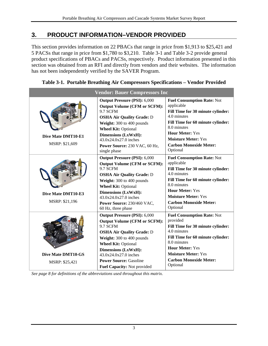#### <span id="page-7-0"></span>**3. PRODUCT INFORMATION–VENDOR PROVIDED**

This section provides information on 22 PBACs that range in price from \$1,913 to \$25,421 and 5 PACSs that range in price from \$1,780 to \$3,210. [Table 3-1](#page-7-1) and [Table 3-2](#page-13-0) provide general product specifications of PBACs and PACSs, respectively. Product information presented in this section was obtained from an RFI and directly from vendors and their websites. The information has not been independently verified by the SAVER Program.

| <b>Vendor: Bauer Compressors Inc</b>        |                                                                                                                                                                                                                                                                                                              |                                                                                                                                                                                                                                                              |  |  |  |  |  |
|---------------------------------------------|--------------------------------------------------------------------------------------------------------------------------------------------------------------------------------------------------------------------------------------------------------------------------------------------------------------|--------------------------------------------------------------------------------------------------------------------------------------------------------------------------------------------------------------------------------------------------------------|--|--|--|--|--|
| Dive Mate DMT10-E1<br>MSRP: \$21,609        | <b>Output Pressure (PSI): 6,000</b><br><b>Output Volume (CFM or SCFM):</b><br>9.7 SCFM<br><b>OSHA Air Quality Grade: D</b><br>Weight: 300 to 400 pounds<br><b>Wheel Kit: Optional</b><br><b>Dimensions (LxWxH):</b><br>$43.0x24.0x27.0$ inches<br>Power Source: 230 VAC, 60 Hz,<br>single phase              | <b>Fuel Consumption Rate: Not</b><br>applicable<br>Fill Time for 30 minute cylinder:<br>4.0 minutes<br>Fill Time for 60 minute cylinder:<br>8.0 minutes<br><b>Hour Meter: Yes</b><br><b>Moisture Meter: Yes</b><br><b>Carbon Monoxide Meter:</b><br>Optional |  |  |  |  |  |
| Dive Mate DMT10-E3<br>MSRP: \$21,196        | <b>Output Pressure (PSI): 6,000</b><br><b>Output Volume (CFM or SCFM):</b><br>9.7 SCFM<br><b>OSHA Air Quality Grade: D</b><br>Weight: 300 to 400 pounds<br><b>Wheel Kit: Optional</b><br><b>Dimensions (LxWxH):</b><br>43.0x24.0x27.0 inches<br>Power Source: 230/460 VAC,<br>60 Hz, three phase             | <b>Fuel Consumption Rate: Not</b><br>applicable<br>Fill Time for 30 minute cylinder:<br>4.0 minutes<br>Fill Time for 60 minute cylinder:<br>8.0 minutes<br><b>Hour Meter: Yes</b><br><b>Moisture Meter: Yes</b><br><b>Carbon Monoxide Meter:</b><br>Optional |  |  |  |  |  |
| <b>Dive Mate DMT10-GS</b><br>MSRP: \$25,421 | <b>Output Pressure (PSI): 6,000</b><br><b>Output Volume (CFM or SCFM):</b><br>9.7 SCFM<br><b>OSHA Air Quality Grade: D</b><br>Weight: 300 to 400 pounds<br><b>Wheel Kit: Optional</b><br><b>Dimensions (LxWxH):</b><br>43.0x24.0x27.0 inches<br><b>Power Source: Gasoline</b><br>Fuel Capacity: Not provided | <b>Fuel Consumption Rate: Not</b><br>provided<br>Fill Time for 30 minute cylinder:<br>4.0 minutes<br>Fill Time for 60 minute cylinder:<br>8.0 minutes<br><b>Hour Meter: Yes</b><br><b>Moisture Meter: Yes</b><br><b>Carbon Monoxide Meter:</b><br>Optional   |  |  |  |  |  |

<span id="page-7-1"></span>**Table 3-1. Portable Breathing Air Compressors Specifications – Vendor Provided**

*See page 8 for definitions of the abbreviations used throughout this matrix.*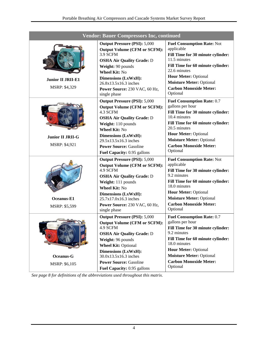| <b>Vendor: Bauer Compressors Inc, continued</b> |                                                                                                                                                                                                                                                                                               |                                                                                                                                                                                                                                                                                |  |  |  |  |
|-------------------------------------------------|-----------------------------------------------------------------------------------------------------------------------------------------------------------------------------------------------------------------------------------------------------------------------------------------------|--------------------------------------------------------------------------------------------------------------------------------------------------------------------------------------------------------------------------------------------------------------------------------|--|--|--|--|
| <b>Junior II JRII-E1</b><br>MSRP: \$4,329       | <b>Output Pressure (PSI): 5,000</b><br><b>Output Volume (CFM or SCFM):</b><br>3.9 SCFM<br><b>OSHA Air Quality Grade: D</b><br>Weight: 90 pounds<br><b>Wheel Kit: No</b><br>Dimensions (LxWxH):<br>26.8x13.5x16.3 inches<br>Power Source: 230 VAC, 60 Hz,<br>single phase                      | <b>Fuel Consumption Rate: Not</b><br>applicable<br>Fill Time for 30 minute cylinder:<br>11.5 minutes<br>Fill Time for 60 minute cylinder:<br>22.6 minutes<br><b>Hour Meter: Optional</b><br><b>Moisture Meter: Optional</b><br><b>Carbon Monoxide Meter:</b><br>Optional       |  |  |  |  |
| <b>Junior II JRII-G</b><br>MSRP: \$4,921        | <b>Output Pressure (PSI): 5,000</b><br><b>Output Volume (CFM or SCFM):</b><br>4.3 SCFM<br><b>OSHA Air Quality Grade: D</b><br>Weight: 110 pounds<br><b>Wheel Kit: No</b><br>Dimensions (LxWxH):<br>$29.5x13.5x16.3$ inches<br><b>Power Source: Gasoline</b><br>Fuel Capacity: 0.95 gallons    | <b>Fuel Consumption Rate: 0.7</b><br>gallons per hour<br>Fill Time for 30 minute cylinder:<br>10.4 minutes<br>Fill Time for 60 minute cylinder:<br>20.5 minutes<br><b>Hour Meter: Optional</b><br><b>Moisture Meter: Optional</b><br><b>Carbon Monoxide Meter:</b><br>Optional |  |  |  |  |
| Oceanus-E1<br>MSRP: \$5,599                     | <b>Output Pressure (PSI): 5,000</b><br><b>Output Volume (CFM or SCFM):</b><br>4.9 SCFM<br><b>OSHA Air Quality Grade: D</b><br>Weight: 111 pounds<br><b>Wheel Kit: No</b><br>Dimensions (LxWxH):<br>25.7x17.0x16.3 inches<br>Power Source: 230 VAC, 60 Hz,<br>single phase                     | <b>Fuel Consumption Rate: Not</b><br>applicable<br>Fill Time for 30 minute cylinder:<br>9.2 minutes<br>Fill Time for 60 minute cylinder:<br>18.0 minutes<br><b>Hour Meter: Optional</b><br><b>Moisture Meter: Optional</b><br><b>Carbon Monoxide Meter:</b><br>Optional        |  |  |  |  |
| Oceanus-G<br>MSRP: \$6,105                      | <b>Output Pressure (PSI): 5,000</b><br><b>Output Volume (CFM or SCFM):</b><br>4.9 SCFM<br><b>OSHA Air Quality Grade: D</b><br>Weight: 96 pounds<br><b>Wheel Kit: Optional</b><br>Dimensions (LxWxH):<br>30.0x13.5x16.3 inches<br><b>Power Source: Gasoline</b><br>Fuel Capacity: 0.95 gallons | <b>Fuel Consumption Rate: 0.7</b><br>gallons per hour<br>Fill Time for 30 minute cylinder:<br>9.2 minutes<br>Fill Time for 60 minute cylinder:<br>18.0 minutes<br><b>Hour Meter: Optional</b><br><b>Moisture Meter: Optional</b><br><b>Carbon Monoxide Meter:</b><br>Optional  |  |  |  |  |

*See page 8 for definitions of the abbreviations used throughout this matrix.*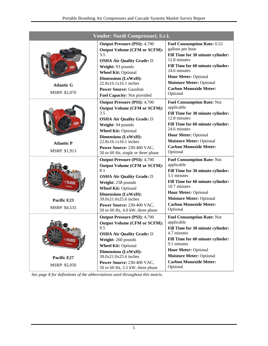|                                    | Vendor: Nardi Compressori, S.r.l.                                                                                                                                                                                                                                                                  |                                                                                                                                                                                                                                                                                 |
|------------------------------------|----------------------------------------------------------------------------------------------------------------------------------------------------------------------------------------------------------------------------------------------------------------------------------------------------|---------------------------------------------------------------------------------------------------------------------------------------------------------------------------------------------------------------------------------------------------------------------------------|
| <b>Atlantic G</b><br>MSRP: \$2,070 | <b>Output Pressure (PSI): 4,700</b><br><b>Output Volume (CFM or SCFM):</b><br>3.5<br><b>OSHA Air Quality Grade: D</b><br>Weight: 93 pounds<br><b>Wheel Kit: Optional</b><br><b>Dimensions (LxWxH):</b><br>$22.8x16.1x16.1$ inches<br><b>Power Source: Gasoline</b><br>Fuel Capacity: Not provided  | <b>Fuel Consumption Rate: 0.53</b><br>gallons per hour<br>Fill Time for 30 minute cylinder:<br>12.8 minutes<br>Fill Time for 60 minute cylinder:<br>24.6 minutes<br><b>Hour Meter: Optional</b><br><b>Moisture Meter: Optional</b><br><b>Carbon Monoxide Meter:</b><br>Optional |
| <b>Atlantic P</b><br>MSRP: \$1,913 | <b>Output Pressure (PSI): 4,700</b><br><b>Output Volume (CFM or SCFM):</b><br>3.5<br><b>OSHA Air Quality Grade: D</b><br>Weight: 94 pounds<br><b>Wheel Kit: Optional</b><br>Dimensions (LxWxH):<br>22.8x16.1x16.1 inches<br>Power Source: 230-400 VAC,<br>50 or 60 Hz, single or three phase       | <b>Fuel Consumption Rate: Not</b><br>applicable<br>Fill Time for 30 minute cylinder:<br>12.8 minutes<br>Fill Time for 60 minute cylinder:<br>24.6 minutes<br><b>Hour Meter: Optional</b><br><b>Moisture Meter: Optional</b><br><b>Carbon Monoxide Meter:</b><br>Optional        |
| Pacific E23<br>MSRP: \$4,535       | <b>Output Pressure (PSI): 4,700</b><br><b>Output Volume (CFM or SCFM):</b><br>8.1<br><b>OSHA Air Quality Grade: D</b><br>Weight: 238 pounds<br><b>Wheel Kit: Optional</b><br><b>Dimensions (LxWxH):</b><br>39.0x21.0x25.6 inches<br>Power Source: 230-400 VAC.<br>50 or 60 Hz, 4.0 kW, three phase | <b>Fuel Consumption Rate: Not</b><br>applicable<br>Fill Time for 30 minute cylinder:<br>5.5 minutes<br>Fill Time for 60 minute cylinder:<br>10.7 minutes<br><b>Hour Meter: Optional</b><br><b>Moisture Meter: Optional</b><br><b>Carbon Monoxide Meter:</b><br>Optional         |
| Pacific E27<br>MSRP: \$5,050       | <b>Output Pressure (PSI): 4,700</b><br><b>Output Volume (CFM or SCFM):</b><br>9.5<br><b>OSHA Air Quality Grade: D</b><br>Weight: 260 pounds<br><b>Wheel Kit: Optional</b><br>Dimensions (LxWxH):<br>39.0x21.0x25.6 inches<br>Power Source: 230-400 VAC,<br>50 or 60 Hz, 5.5 kW, three phase        | <b>Fuel Consumption Rate: Not</b><br>applicable<br>Fill Time for 30 minute cylinder:<br>4.7 minutes<br>Fill Time for 60 minute cylinder:<br>9.1 minutes<br><b>Hour Meter: Optional</b><br><b>Moisture Meter: Optional</b><br><b>Carbon Monoxide Meter:</b><br>Optional          |

*See page 8 for definitions of the abbreviations used throughout this matrix.*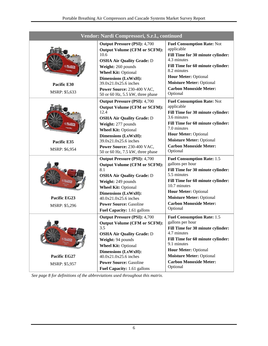| Vendor: Nardi Compressori, S.r.l., continued |                                                                                                                                                                                                                                                                                                     |                                                                                                                                                                                                                                                                               |  |  |  |  |  |
|----------------------------------------------|-----------------------------------------------------------------------------------------------------------------------------------------------------------------------------------------------------------------------------------------------------------------------------------------------------|-------------------------------------------------------------------------------------------------------------------------------------------------------------------------------------------------------------------------------------------------------------------------------|--|--|--|--|--|
| Pacific E30<br>MSRP: \$5,633                 | <b>Output Pressure (PSI): 4,700</b><br><b>Output Volume (CFM or SCFM):</b><br>10.6<br><b>OSHA Air Quality Grade: D</b><br>Weight: 260 pounds<br><b>Wheel Kit: Optional</b><br><b>Dimensions (LxWxH):</b><br>39.0x21.0x25.6 inches<br>Power Source: 230-400 VAC,<br>50 or 60 Hz, 5.5 kW, three phase | <b>Fuel Consumption Rate: Not</b><br>applicable<br>Fill Time for 30 minute cylinder:<br>4.3 minutes<br>Fill Time for 60 minute cylinder:<br>8.2 minutes<br><b>Hour Meter: Optional</b><br><b>Moisture Meter: Optional</b><br><b>Carbon Monoxide Meter:</b><br>Optional        |  |  |  |  |  |
| Pacific E35<br>MSRP: \$6,954                 | <b>Output Pressure (PSI): 4,700</b><br><b>Output Volume (CFM or SCFM):</b><br>12.4<br><b>OSHA Air Quality Grade: D</b><br>Weight: 277 pounds<br><b>Wheel Kit: Optional</b><br><b>Dimensions (LxWxH):</b><br>39.0x21.0x25.6 inches<br>Power Source: 230-400 VAC,<br>50 or 60 Hz, 7.5 kW, three phase | <b>Fuel Consumption Rate: Not</b><br>applicable<br>Fill Time for 30 minute cylinder:<br>3.6 minutes<br>Fill Time for 60 minute cylinder:<br>7.0 minutes<br><b>Hour Meter: Optional</b><br><b>Moisture Meter: Optional</b><br><b>Carbon Monoxide Meter:</b><br>Optional        |  |  |  |  |  |
| Pacific EG23<br>MSRP: \$5,296                | <b>Output Pressure (PSI): 4,700</b><br><b>Output Volume (CFM or SCFM):</b><br>8.1<br><b>OSHA Air Quality Grade: D</b><br>Weight: 249 pounds<br><b>Wheel Kit: Optional</b><br><b>Dimensions (LxWxH):</b><br>40.0x21.0x25.6 inches<br><b>Power Source: Gasoline</b><br>Fuel Capacity: 1.61 gallons    | <b>Fuel Consumption Rate: 1.5</b><br>gallons per hour<br>Fill Time for 30 minute cylinder:<br>5.5 minutes<br>Fill Time for 60 minute cylinder:<br>10.7 minutes<br><b>Hour Meter: Optional</b><br><b>Moisture Meter: Optional</b><br><b>Carbon Monoxide Meter:</b><br>Optional |  |  |  |  |  |
| Pacific EG27<br>MSRP: \$5,957                | <b>Output Pressure (PSI): 4,700</b><br><b>Output Volume (CFM or SCFM):</b><br>3.5<br><b>OSHA Air Quality Grade: D</b><br>Weight: 94 pounds<br><b>Wheel Kit: Optional</b><br>Dimensions (LxWxH):<br>40.0x21.0x25.6 inches<br><b>Power Source: Gasoline</b><br>Fuel Capacity: 1.61 gallons            | <b>Fuel Consumption Rate: 1.5</b><br>gallons per hour<br>Fill Time for 30 minute cylinder:<br>4.7 minutes<br>Fill Time for 60 minute cylinder:<br>9.1 minutes<br><b>Hour Meter: Optional</b><br><b>Moisture Meter: Optional</b><br><b>Carbon Monoxide Meter:</b><br>Optional  |  |  |  |  |  |

*See page 8 for definitions of the abbreviations used throughout this matrix.*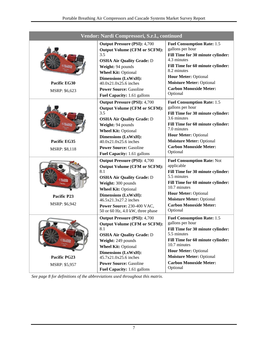| Vendor: Nardi Compressori, S.r.l., continued |                                                                                                                                                                                                                                                                                                    |                                                                                                                                                                                                                                                                               |  |  |  |  |
|----------------------------------------------|----------------------------------------------------------------------------------------------------------------------------------------------------------------------------------------------------------------------------------------------------------------------------------------------------|-------------------------------------------------------------------------------------------------------------------------------------------------------------------------------------------------------------------------------------------------------------------------------|--|--|--|--|
| Pacific EG30<br>MSRP: \$6,623                | <b>Output Pressure (PSI): 4,700</b><br><b>Output Volume (CFM or SCFM):</b><br>3.5<br><b>OSHA Air Quality Grade: D</b><br>Weight: 94 pounds<br><b>Wheel Kit: Optional</b><br><b>Dimensions (LxWxH):</b><br>40.0x21.0x25.6 inches<br><b>Power Source: Gasoline</b><br>Fuel Capacity: 1.61 gallons    | <b>Fuel Consumption Rate: 1.5</b><br>gallons per hour<br>Fill Time for 30 minute cylinder:<br>4.3 minutes<br>Fill Time for 60 minute cylinder:<br>8.2 minutes<br><b>Hour Meter: Optional</b><br><b>Moisture Meter: Optional</b><br><b>Carbon Monoxide Meter:</b><br>Optional  |  |  |  |  |
| Pacific EG35<br><b>MSRP: \$8,118</b>         | <b>Output Pressure (PSI): 4,700</b><br><b>Output Volume (CFM or SCFM):</b><br>3.5<br><b>OSHA Air Quality Grade: D</b><br>Weight: 94 pounds<br><b>Wheel Kit: Optional</b><br>Dimensions (LxWxH):<br>40.0x21.0x25.6 inches<br><b>Power Source: Gasoline</b><br>Fuel Capacity: 1.61 gallons           | <b>Fuel Consumption Rate: 1.5</b><br>gallons per hour<br>Fill Time for 30 minute cylinder:<br>3.6 minutes<br>Fill Time for 60 minute cylinder:<br>7.0 minutes<br><b>Hour Meter: Optional</b><br><b>Moisture Meter: Optional</b><br><b>Carbon Monoxide Meter:</b><br>Optional  |  |  |  |  |
| Pacific P23<br>MSRP: \$6,942                 | <b>Output Pressure (PSI): 4,700</b><br><b>Output Volume (CFM or SCFM):</b><br>8.1<br><b>OSHA Air Quality Grade: D</b><br>Weight: 300 pounds<br><b>Wheel Kit: Optional</b><br><b>Dimensions (LxWxH):</b><br>46.5x21.3x27.2 inches<br>Power Source: 230-400 VAC.<br>50 or 60 Hz, 4.0 kW, three phase | <b>Fuel Consumption Rate: Not</b><br>applicable<br>Fill Time for 30 minute cylinder:<br>5.5 minutes<br>Fill Time for 60 minute cylinder:<br>10.7 minutes<br><b>Hour Meter: Optional</b><br><b>Moisture Meter: Optional</b><br><b>Carbon Monoxide Meter:</b><br>Optional       |  |  |  |  |
| Pacific PG23<br>MSRP: \$5,957                | <b>Output Pressure (PSI): 4,700</b><br><b>Output Volume (CFM or SCFM):</b><br>8.1<br><b>OSHA Air Quality Grade: D</b><br>Weight: 249 pounds<br><b>Wheel Kit: Optional</b><br>Dimensions (LxWxH):<br>45.7x21.0x25.6 inches<br><b>Power Source: Gasoline</b><br>Fuel Capacity: 1.61 gallons          | <b>Fuel Consumption Rate: 1.5</b><br>gallons per hour<br>Fill Time for 30 minute cylinder:<br>5.5 minutes<br>Fill Time for 60 minute cylinder:<br>10.7 minutes<br><b>Hour Meter: Optional</b><br><b>Moisture Meter: Optional</b><br><b>Carbon Monoxide Meter:</b><br>Optional |  |  |  |  |

*See page 8 for definitions of the abbreviations used throughout this matrix.*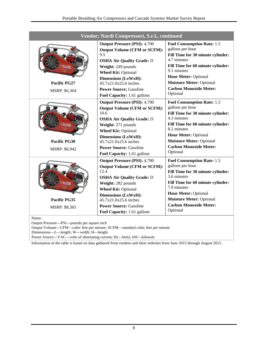| Vendor: Nardi Compressori, S.r.l., continued |                                                                                                                                                                                                                                                                                                   |                                                                                                                                                                                                                                                                              |  |  |  |  |
|----------------------------------------------|---------------------------------------------------------------------------------------------------------------------------------------------------------------------------------------------------------------------------------------------------------------------------------------------------|------------------------------------------------------------------------------------------------------------------------------------------------------------------------------------------------------------------------------------------------------------------------------|--|--|--|--|
| <b>Pacific PG27</b><br><b>MSRP: \$6,304</b>  | <b>Output Pressure (PSI): 4,700</b><br><b>Output Volume (CFM or SCFM):</b><br>9.5<br><b>OSHA Air Quality Grade: D</b><br>Weight: 249 pounds<br><b>Wheel Kit: Optional</b><br>Dimensions (LxWxH):<br>45.7x21.0x25.6 inches<br><b>Power Source: Gasoline</b><br>Fuel Capacity: 1.61 gallons         | <b>Fuel Consumption Rate: 1.5</b><br>gallons per hour<br>Fill Time for 30 minute cylinder:<br>4.7 minutes<br>Fill Time for 60 minute cylinder:<br>9.1 minutes<br><b>Hour Meter: Optional</b><br><b>Moisture Meter: Optional</b><br><b>Carbon Monoxide Meter:</b><br>Optional |  |  |  |  |
| Pacific PG30<br><b>MSRP: \$6,942</b>         | <b>Output Pressure (PSI): 4,700</b><br><b>Output Volume (CFM or SCFM):</b><br>10.6<br><b>OSHA Air Quality Grade: D</b><br>Weight: 271 pounds<br><b>Wheel Kit: Optional</b><br><b>Dimensions (LxWxH):</b><br>45.7x21.0x25.6 inches<br><b>Power Source: Gasoline</b><br>Fuel Capacity: 1.61 gallons | <b>Fuel Consumption Rate: 1.5</b><br>gallons per hour<br>Fill Time for 30 minute cylinder:<br>4.3 minutes<br>Fill Time for 60 minute cylinder:<br>8.2 minutes<br><b>Hour Meter: Optional</b><br><b>Moisture Meter: Optional</b><br><b>Carbon Monoxide Meter:</b><br>Optional |  |  |  |  |
| Pacific PG35<br>MSRP: \$8,365<br>Notes:      | <b>Output Pressure (PSI): 4,700</b><br><b>Output Volume (CFM or SCFM):</b><br>12.4<br><b>OSHA Air Quality Grade: D</b><br>Weight: 282 pounds<br><b>Wheel Kit: Optional</b><br><b>Dimensions (LxWxH):</b><br>45.7x21.0x25.6 inches<br><b>Power Source: Gasoline</b><br>Fuel Capacity: 1.61 gallons | <b>Fuel Consumption Rate: 1.5</b><br>gallons per hour<br>Fill Time for 30 minute cylinder:<br>3.6 minutes<br>Fill Time for 60 minute cylinder:<br>7.0 minutes<br><b>Hour Meter: Optional</b><br><b>Moisture Meter: Optional</b><br><b>Carbon Monoxide Meter:</b><br>Optional |  |  |  |  |

Output Volume—CFM—cubic feet per minute; SCFM—standard cubic feet per minute

Dimensions—L—length; W—width; H—height

Power Source—VAC—volts of alternating current; Hz—hertz; kW—kilowatt

Information in the table is based on data gathered from vendors and their websites from June 2015 through August 2015.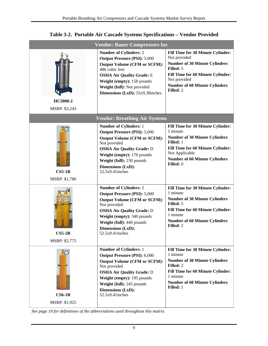<span id="page-13-0"></span>

|                                                      | <b>Vendor: Bauer Compressors Inc</b>                                                                                                                                                                                                                                |                                                                                                                                                                                                                               |
|------------------------------------------------------|---------------------------------------------------------------------------------------------------------------------------------------------------------------------------------------------------------------------------------------------------------------------|-------------------------------------------------------------------------------------------------------------------------------------------------------------------------------------------------------------------------------|
| HC5000-2                                             | <b>Number of Cylinders: 2</b><br><b>Output Pressure (PSI): 5,000</b><br><b>Output Volume (CFM or SCFM):</b><br>486 cubic feet<br><b>OSHA Air Quality Grade: E</b><br>Weight (empty): 158 pounds<br>Weight (full): Not provided<br>Dimensions (LxD): 55x9.38inches   | <b>Fill Time for 30 Minute Cylinder:</b><br>Not provided<br><b>Number of 30 Minute Cylinders</b><br>Filled: 5<br>Fill Time for 60 Minute Cylinder:<br>Not provided<br><b>Number of 60 Minute Cylinders</b><br>Filled: 2       |
| MSRP: \$3,243                                        |                                                                                                                                                                                                                                                                     |                                                                                                                                                                                                                               |
|                                                      | <b>Vendor: Breathing Air Systems</b>                                                                                                                                                                                                                                |                                                                                                                                                                                                                               |
| <b>Distances</b><br>$CS5-1R$<br><b>MSRP: \$1,780</b> | <b>Number of Cylinders: 1</b><br><b>Output Pressure (PSI): 5,000</b><br><b>Output Volume (CFM or SCFM):</b><br>Not provided<br><b>OSHA Air Quality Grade: D</b><br>Weight (empty): 170 pounds<br>Weight (full): 230 pounds<br>Dimensions (LxD):<br>52.5x9.41 inches | <b>Fill Time for 30 Minute Cylinder:</b><br>1 minute<br><b>Number of 30 Minute Cylinders</b><br><b>Filled:</b> 1<br>Fill Time for 60 Minute Cylinder:<br>Not Applicable<br><b>Number of 60 Minute Cylinders</b><br>Filled: 0  |
| $CS5-2R$<br>MSRP: \$2,775                            | <b>Number of Cylinders: 2</b><br><b>Output Pressure (PSI): 5,000</b><br><b>Output Volume (CFM or SCFM):</b><br>Not provided<br><b>OSHA Air Quality Grade: D</b><br>Weight (empty): 340 pounds<br>Weight (full): 440 pounds<br>Dimensions (LxD):<br>52.5x9.41 inches | Fill Time for 30 Minute Cylinder:<br>1 minute<br><b>Number of 30 Minute Cylinders</b><br>Filled: 5<br>Fill Time for 60 Minute Cylinder:<br>1 minute<br><b>Number of 60 Minute Cylinders</b><br>Filled: 2                      |
| <b>Distances</b><br>$CS6-1R$<br>MSRP: \$1,925        | <b>Number of Cylinders: 1</b><br><b>Output Pressure (PSI): 6,000</b><br><b>Output Volume (CFM or SCFM):</b><br>Not provided<br><b>OSHA Air Quality Grade: D</b><br>Weight (empty): 195 pounds<br>Weight (full): 245 pounds<br>Dimensions (LxD):<br>52.5x9.41inches  | <b>Fill Time for 30 Minute Cylinder:</b><br>1 minute<br><b>Number of 30 Minute Cylinders</b><br><b>Filled: 2</b><br>Fill Time for 60 Minute Cylinder:<br>1 minute<br><b>Number of 60 Minute Cylinders</b><br><b>Filled:</b> 1 |

#### **Table 3-2. Portable Air Cascade Systems Specifications – Vendor Provided**

*See page 10 for definitions of the abbreviations used throughout this matrix.*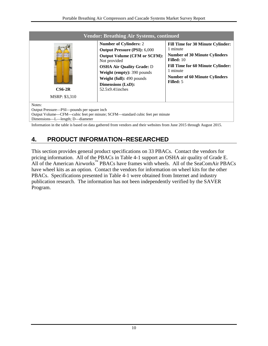| <b>Vendor: Breathing Air Systems, continued</b>                                                                                                                         |                                                                                                                                                                                                                                                                              |                                                                                                                                                                                                                           |  |  |  |  |  |  |
|-------------------------------------------------------------------------------------------------------------------------------------------------------------------------|------------------------------------------------------------------------------------------------------------------------------------------------------------------------------------------------------------------------------------------------------------------------------|---------------------------------------------------------------------------------------------------------------------------------------------------------------------------------------------------------------------------|--|--|--|--|--|--|
| $F$ 6000 $n$<br>$CS6-2R$<br><b>MSRP: \$3,310</b>                                                                                                                        | <b>Number of Cylinders: 2</b><br><b>Output Pressure (PSI): 6,000</b><br><b>Output Volume (CFM or SCFM):</b><br>Not provided<br><b>OSHA Air Quality Grade: D</b><br>Weight (empty): 390 pounds<br><b>Weight (full):</b> 490 pounds<br>Dimensions (LxD):<br>$52.5x9.41$ inches | <b>Fill Time for 30 Minute Cylinder:</b><br>1 minute<br><b>Number of 30 Minute Cylinders</b><br>Filled: $10$<br><b>Fill Time for 60 Minute Cylinder:</b><br>1 minute<br><b>Number of 60 Minute Cylinders</b><br>Filled: 5 |  |  |  |  |  |  |
| Notes:<br>Output Pressure—PSI—pounds per square inch<br>Output Volume-CFM-cubic feet per minute; SCFM-standard cubic feet per minute<br>Dimensions—L—length; D—diameter |                                                                                                                                                                                                                                                                              |                                                                                                                                                                                                                           |  |  |  |  |  |  |

<span id="page-14-0"></span>Information in the table is based on data gathered from vendors and their websites from June 2015 through August 2015.

## **4. PRODUCT INFORMATION–RESEARCHED**

This section provides general product specifications on 33 PBACs. Contact the vendors for pricing information. All of the PBACs in [Table 4-1](#page-15-0) support an OSHA air quality of Grade E. All of the American Airworks<sup>™</sup> PBACs have frames with wheels. All of the SeaComAir PBACs have wheel kits as an option. Contact the vendors for information on wheel kits for the other PBACs. Specifications presented in [Table 4-1](#page-15-0) were obtained from Internet and industry publication research. The information has not been independently verified by the SAVER Program.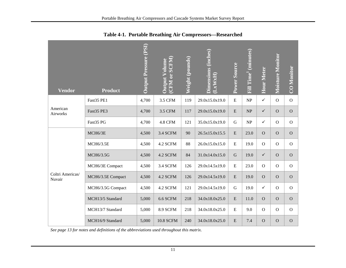<span id="page-15-0"></span>

| <b>Vendor</b>              | <b>Product</b>    | <b>Output Pressure (PSI)</b> | (CFM or SCFM)<br><b>Output Volume</b> | Weight (pounds) | Dimensions (inches)<br>LxWxH) | Power Source | Fill Time <sup>1</sup> (minutes) | Hour Meter     | Moisture Monitor | <b>CO</b> Monitor |
|----------------------------|-------------------|------------------------------|---------------------------------------|-----------------|-------------------------------|--------------|----------------------------------|----------------|------------------|-------------------|
|                            | Fast35 PE1        | 4,700                        | 3.5 CFM                               | 119             | 29.0x15.0x19.0                | ${\bf E}$    | NP                               | $\checkmark$   | $\mathbf{O}$     | ${\bf O}$         |
| American<br>Airworks       | Fast35 PE3        | 4,700                        | 3.5 CFM                               | 117             | 29.0x15.0x19.0                | ${\bf E}$    | NP                               | $\checkmark$   | $\overline{O}$   | $\overline{O}$    |
|                            | Fast35 PG         | 4,700                        | <b>4.8 CFM</b>                        | 121             | 35.0x15.0x19.0                | $\mathbf G$  | NP                               | $\checkmark$   | $\mathbf{O}$     | $\mathbf{O}$      |
|                            | MCH6/3E           | 4,500                        | 3.4 SCFM                              | 90              | 26.5x15.0x15.5                | E            | 23.0                             | $\overline{O}$ | $\overline{O}$   | $\mathbf O$       |
|                            | MCH6/3.5E         | 4,500                        | 4.2 SCFM                              | 88              | 26.0x15.0x15.0                | ${\bf E}$    | 19.0                             | $\mathbf O$    | $\overline{O}$   | $\mathbf{O}$      |
|                            | MCH6/3.5G         | 4,500                        | 4.2 SCFM                              | 84              | 31.0x14.0x15.0                | ${\bf G}$    | 19.0                             | $\checkmark$   | $\overline{O}$   | $\mathbf O$       |
|                            | MCH6/3E Compact   | 4,500                        | 3.4 SCFM                              | 126             | 29.0x14.5x19.0                | ${\bf E}$    | 23.0                             | $\mathbf O$    | $\mathbf{O}$     | $\mathbf{O}$      |
| Coltri Americas/<br>Nuvair | MCH6/3.5E Compact | 4,500                        | 4.2 SCFM                              | 126             | 29.0x14.5x19.0                | ${\bf E}$    | 19.0                             | $\mathbf O$    | $\overline{O}$   | $\mathbf{O}$      |
|                            | MCH6/3.5G Compact | 4,500                        | 4.2 SCFM                              | 121             | 29.0x14.5x19.0                | ${\bf G}$    | 19.0                             | $\checkmark$   | $\mathcal{O}$    | $\mathbf{O}$      |
|                            | MCH13/5 Standard  | 5,000                        | 6.6 SCFM                              | 218             | 34.0x18.0x25.0                | ${\bf E}$    | 11.0                             | $\overline{O}$ | $\overline{O}$   | $\mathbf O$       |
|                            | MCH13/7 Standard  | 5,000                        | 8.9 SCFM                              | 218             | 34.0x18.0x25.0                | ${\bf E}$    | 9.0                              | $\mathbf O$    | $\mathbf{O}$     | $\mathbf{O}$      |
|                            | MCH16/9 Standard  | 5,000                        | <b>10.8 SCFM</b>                      | 240             | 34.0x18.0x25.0                | ${\bf E}$    | 7.4                              | $\mathbf O$    | $\mathbf O$      | $\mathbf O$       |

**Table 4-1. Portable Breathing Air Compressors—Researched**

*See page 13 for notes and definitions of the abbreviations used throughout this matrix.*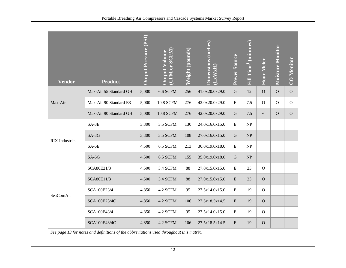| <b>Vendor</b>         | <b>Product</b>         | <b>Output Pressure (PSI)</b> | (CFM or SCFM)<br><b>Output Volume</b> | Weight (pounds) | Dimensions (inches)<br>LxWxH) | Power Source | Fill Time <sup>1</sup> (minutes) | Hour Meter     | <b>Moisture Monitor</b> | <b>CO Monitor</b> |
|-----------------------|------------------------|------------------------------|---------------------------------------|-----------------|-------------------------------|--------------|----------------------------------|----------------|-------------------------|-------------------|
|                       | Max-Air 55 Standard GH | 5,000                        | 6.6 SCFM                              | 256             | 41.0x20.0x29.0                | $\mathbf G$  | 12                               | $\mathcal{O}$  | $\mathbf O$             | $\mathbf{O}$      |
| Max-Air               | Max-Air 90 Standard E3 | 5,000                        | <b>10.8 SCFM</b>                      | 276             | 42.0x20.0x29.0                | ${\bf E}$    | $7.5$                            | $\mathcal{O}$  | $\mathbf O$             | $\mathbf{O}$      |
|                       | Max-Air 90 Standard GH | 5,000                        | <b>10.8 SCFM</b>                      | 276             | 42.0x20.0x29.0                | $\mathbf G$  | 7.5                              | $\checkmark$   | $\mathbf{O}$            | $\mathbf{O}$      |
|                       | $SA-3E$                | 3,300                        | 3.5 SCFM                              | 130             | 24.0x16.0x15.0                | ${\bf E}$    | NP                               |                |                         |                   |
| <b>RIX</b> Industries | $SA-3G$                | 3,300                        | 3.5 SCFM                              | 108             | 27.0x16.0x15.0                | $\mathbf G$  | NP                               |                |                         |                   |
|                       | SA-6E                  | 4,500                        | 6.5 SCFM                              | 213             | 30.0x19.0x18.0                | ${\bf E}$    | NP                               |                |                         |                   |
|                       | $SA-6G$                | 4,500                        | 6.5 SCFM                              | 155             | 35.0x19.0x18.0                | G            | NP                               |                |                         |                   |
|                       | SCA80E21/3             | 4,500                        | 3.4 SCFM                              | 88              | 27.0x15.0x15.0                | ${\bf E}$    | 23                               | $\mathbf{O}$   |                         |                   |
|                       | SCA80E11/3             | 4,500                        | 3.4 SCFM                              | 88              | 27.0x15.0x15.0                | ${\bf E}$    | 23                               | $\overline{O}$ |                         |                   |
| SeaComAir             | SCA100E23/4            | 4,850                        | 4.2 SCFM                              | 95              | 27.5x14.0x15.0                | ${\bf E}$    | 19                               | $\mathcal{O}$  |                         |                   |
|                       | SCA100E23/4C           | 4,850                        | 4.2 SCFM                              | 106             | 27.5x18.5x14.5                | ${\bf E}$    | 19                               | $\mathbf{O}$   |                         |                   |
|                       | SCA100E43/4            | 4,850                        | 4.2 SCFM                              | 95              | 27.5x14.0x15.0                | ${\bf E}$    | 19                               | $\mathcal{O}$  |                         |                   |
|                       | SCA100E43/4C           | 4,850                        | 4.2 SCFM                              | 106             | 27.5x18.5x14.5                | ${\bf E}$    | 19                               | $\mathbf{O}$   |                         |                   |

*See page 13 for notes and definitions of the abbreviations used throughout this matrix.*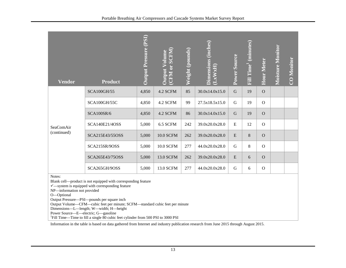| <b>Vendor</b>                                                                                                                                                                                                                                                                                                                                                                                                                                                                                      | <b>Product</b>     | <b>Output Pressure (PSI)</b> | (CFM or SCFM)<br><b>Output Volume</b> | Weight (pounds) | Dimensions (inches)<br>LxWxH) | Power Source | <b>Fill Time' (minutes)</b> | Hour Meter     | <b>Moisture Monitor</b> | CO Monitor |
|----------------------------------------------------------------------------------------------------------------------------------------------------------------------------------------------------------------------------------------------------------------------------------------------------------------------------------------------------------------------------------------------------------------------------------------------------------------------------------------------------|--------------------|------------------------------|---------------------------------------|-----------------|-------------------------------|--------------|-----------------------------|----------------|-------------------------|------------|
| SeaComAir<br>(continued)                                                                                                                                                                                                                                                                                                                                                                                                                                                                           | <b>SCA100GH/55</b> | 4,850                        | 4.2 SCFM                              | 85              | 30.0x14.0x15.0                | $\mathbf G$  | 19                          | $\mathbf O$    |                         |            |
|                                                                                                                                                                                                                                                                                                                                                                                                                                                                                                    | SCA100GH/55C       | 4,850                        | 4.2 SCFM                              | 99              | 27.5x18.5x15.0                | ${\bf G}$    | 19                          | $\mathcal{O}$  |                         |            |
|                                                                                                                                                                                                                                                                                                                                                                                                                                                                                                    | <b>SCA100SR/6</b>  | 4,850                        | 4.2 SCFM                              | 86              | 30.0x14.0x15.0                | $\mathbf G$  | 19                          | $\mathbf{O}$   |                         |            |
|                                                                                                                                                                                                                                                                                                                                                                                                                                                                                                    | SCA140E21/4OSS     | 5,000                        | 6.5 SCFM                              | 242             | 39.0x20.0x28.0                | E            | 12                          | $\mathbf{O}$   |                         |            |
|                                                                                                                                                                                                                                                                                                                                                                                                                                                                                                    | SCA215E43/55OSS    | 5,000                        | <b>10.0 SCFM</b>                      | 262             | 39.0x20.0x28.0                | E            | 8                           | $\mathbf O$    |                         |            |
|                                                                                                                                                                                                                                                                                                                                                                                                                                                                                                    | SCA215SR/9OSS      | 5,000                        | <b>10.0 SCFM</b>                      | 277             | 44.0x20.0x28.0                | G            | 8                           | $\mathbf{O}$   |                         |            |
|                                                                                                                                                                                                                                                                                                                                                                                                                                                                                                    | SCA265E43/75OSS    | 5,000                        | 13.0 SCFM                             | 262             | 39.0x20.0x28.0                | E            | 6                           | $\overline{O}$ |                         |            |
|                                                                                                                                                                                                                                                                                                                                                                                                                                                                                                    | SCA265GH/9OSS      | 5,000                        | 13.0 SCFM                             | 277             | 44.0x20.0x28.0                | ${\bf G}$    | 6                           | $\mathbf O$    |                         |            |
| Notes:<br>Blank cell—product is not equipped with corresponding feature<br>$\checkmark$ —system is equipped with corresponding feature<br>NP-information not provided<br>O-Optional<br>Output Pressure—PSI—pounds per square inch<br>Output Volume—CFM—cubic feet per minute; SCFM—standard cubic feet per minute<br>Dimensions-L-length; W-width; H-height<br>Power Source-E-electric; G-gasoline<br><sup>1</sup> Fill Time—Time to fill a single 80 cubic feet cylinder from 500 PSI to 3000 PSI |                    |                              |                                       |                 |                               |              |                             |                |                         |            |

Information in the table is based on data gathered from Internet and industry publication research from June 2015 through August 2015.